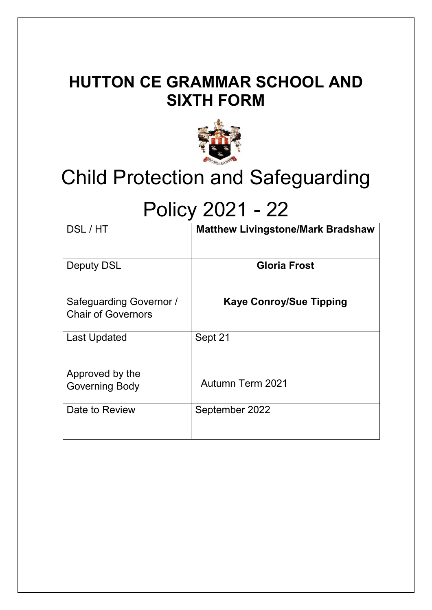# **HUTTON CE GRAMMAR SCHOOL AND SIXTH FORM**



# Child Protection and Safeguarding

# Policy 2021 - 22

| DSL/HT                                               | <b>Matthew Livingstone/Mark Bradshaw</b> |
|------------------------------------------------------|------------------------------------------|
| <b>Deputy DSL</b>                                    | <b>Gloria Frost</b>                      |
| Safeguarding Governor /<br><b>Chair of Governors</b> | <b>Kaye Conroy/Sue Tipping</b>           |
| <b>Last Updated</b>                                  | Sept 21                                  |
| Approved by the<br><b>Governing Body</b>             | <b>Autumn Term 2021</b>                  |
| Date to Review                                       | September 2022                           |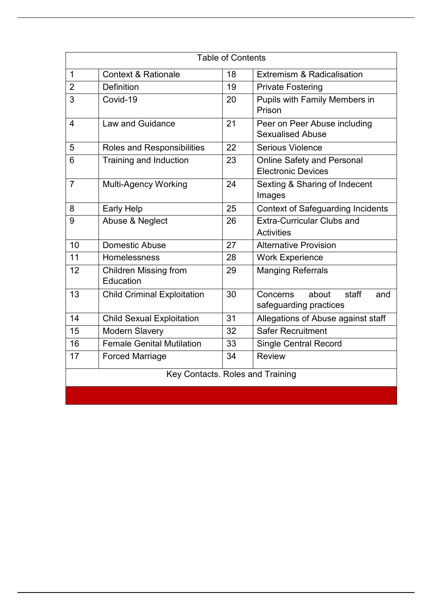| <b>Table of Contents</b>         |                                           |    |                                                                |  |  |
|----------------------------------|-------------------------------------------|----|----------------------------------------------------------------|--|--|
| $\mathbf 1$                      | <b>Context &amp; Rationale</b>            | 18 | <b>Extremism &amp; Radicalisation</b>                          |  |  |
| $\overline{2}$                   | <b>Definition</b>                         | 19 | <b>Private Fostering</b>                                       |  |  |
| 3                                | Covid-19                                  | 20 | <b>Pupils with Family Members in</b><br>Prison                 |  |  |
| 4                                | <b>Law and Guidance</b>                   | 21 | Peer on Peer Abuse including<br><b>Sexualised Abuse</b>        |  |  |
| 5                                | Roles and Responsibilities                | 22 | Serious Violence                                               |  |  |
| 6                                | <b>Training and Induction</b>             | 23 | <b>Online Safety and Personal</b><br><b>Electronic Devices</b> |  |  |
| $\overline{7}$                   | <b>Multi-Agency Working</b>               | 24 | Sexting & Sharing of Indecent<br>Images                        |  |  |
| 8                                | <b>Early Help</b>                         | 25 | <b>Context of Safeguarding Incidents</b>                       |  |  |
| 9                                | Abuse & Neglect                           | 26 | <b>Extra-Curricular Clubs and</b>                              |  |  |
|                                  |                                           |    | <b>Activities</b>                                              |  |  |
| 10                               | Domestic Abuse                            | 27 | <b>Alternative Provision</b>                                   |  |  |
| 11                               | Homelessness                              | 28 | <b>Work Experience</b>                                         |  |  |
| 12                               | <b>Children Missing from</b><br>Education | 29 | <b>Manging Referrals</b>                                       |  |  |
| 13                               | <b>Child Criminal Exploitation</b>        | 30 | about<br>staff<br>Concerns<br>and<br>safeguarding practices    |  |  |
| 14                               | <b>Child Sexual Exploitation</b>          | 31 | Allegations of Abuse against staff                             |  |  |
| 15                               | <b>Modern Slavery</b>                     | 32 | <b>Safer Recruitment</b>                                       |  |  |
| 16                               | <b>Female Genital Mutilation</b>          | 33 | <b>Single Central Record</b>                                   |  |  |
| 17                               | <b>Forced Marriage</b>                    | 34 | <b>Review</b>                                                  |  |  |
| Key Contacts. Roles and Training |                                           |    |                                                                |  |  |
|                                  |                                           |    |                                                                |  |  |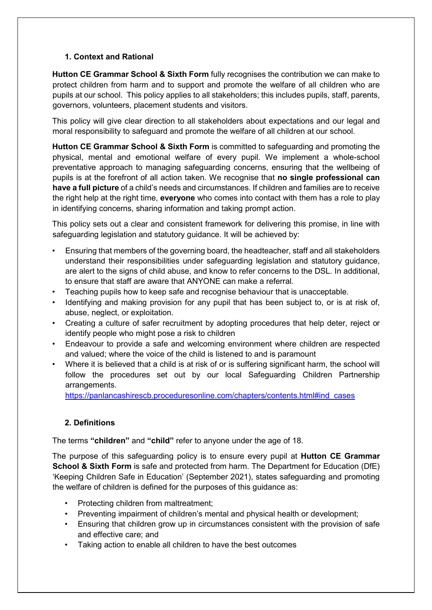# **1. Context and Rational**

**Hutton CE Grammar School & Sixth Form** fully recognises the contribution we can make to protect children from harm and to support and promote the welfare of all children who are pupils at our school. This policy applies to all stakeholders; this includes pupils, staff, parents, governors, volunteers, placement students and visitors.

This policy will give clear direction to all stakeholders about expectations and our legal and moral responsibility to safeguard and promote the welfare of all children at our school.

**Hutton CE Grammar School & Sixth Form** is committed to safeguarding and promoting the physical, mental and emotional welfare of every pupil. We implement a whole-school preventative approach to managing safeguarding concerns, ensuring that the wellbeing of pupils is at the forefront of all action taken. We recognise that **no single professional can have a full picture** of a child's needs and circumstances. If children and families are to receive the right help at the right time, **everyone** who comes into contact with them has a role to play in identifying concerns, sharing information and taking prompt action.

This policy sets out a clear and consistent framework for delivering this promise, in line with safeguarding legislation and statutory guidance. It will be achieved by:

- Ensuring that members of the governing board, the headteacher, staff and all stakeholders understand their responsibilities under safeguarding legislation and statutory guidance, are alert to the signs of child abuse, and know to refer concerns to the DSL. In additional, to ensure that staff are aware that ANYONE can make a referral.
- Teaching pupils how to keep safe and recognise behaviour that is unacceptable.
- Identifying and making provision for any pupil that has been subject to, or is at risk of, abuse, neglect, or exploitation.
- Creating a culture of safer recruitment by adopting procedures that help deter, reject or identify people who might pose a risk to children
- Endeavour to provide a safe and welcoming environment where children are respected and valued; where the voice of the child is listened to and is paramount
- Where it is believed that a child is at risk of or is suffering significant harm, the school will follow the procedures set out by our local Safeguarding Children Partnership arrangements.

[https://panlancashirescb.proceduresonline.com/chapters/contents.html#ind\\_cases](https://panlancashirescb.proceduresonline.com/chapters/contents.html#ind_cases)

# **2. Definitions**

The terms **"children"** and **"child"** refer to anyone under the age of 18.

The purpose of this safeguarding policy is to ensure every pupil at **Hutton CE Grammar School & Sixth Form** is safe and protected from harm. The Department for Education (DfE) 'Keeping Children Safe in Education' (September 2021), states safeguarding and promoting the welfare of children is defined for the purposes of this guidance as:

- Protecting children from maltreatment;
- Preventing impairment of children's mental and physical health or development;
- Ensuring that children grow up in circumstances consistent with the provision of safe and effective care; and
- Taking action to enable all children to have the best outcomes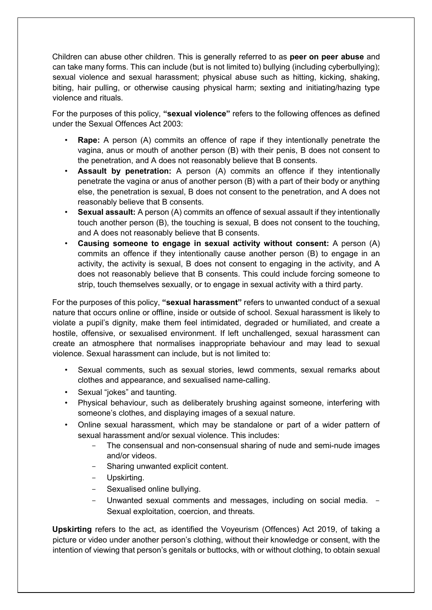Children can abuse other children. This is generally referred to as **peer on peer abuse** and can take many forms. This can include (but is not limited to) bullying (including cyberbullying); sexual violence and sexual harassment; physical abuse such as hitting, kicking, shaking, biting, hair pulling, or otherwise causing physical harm; sexting and initiating/hazing type violence and rituals.

For the purposes of this policy, **"sexual violence"** refers to the following offences as defined under the Sexual Offences Act 2003:

- **Rape:** A person (A) commits an offence of rape if they intentionally penetrate the vagina, anus or mouth of another person (B) with their penis, B does not consent to the penetration, and A does not reasonably believe that B consents.
- **Assault by penetration:** A person (A) commits an offence if they intentionally penetrate the vagina or anus of another person (B) with a part of their body or anything else, the penetration is sexual, B does not consent to the penetration, and A does not reasonably believe that B consents.
- **Sexual assault:** A person (A) commits an offence of sexual assault if they intentionally touch another person (B), the touching is sexual, B does not consent to the touching, and A does not reasonably believe that B consents.
- **Causing someone to engage in sexual activity without consent:** A person (A) commits an offence if they intentionally cause another person (B) to engage in an activity, the activity is sexual, B does not consent to engaging in the activity, and A does not reasonably believe that B consents. This could include forcing someone to strip, touch themselves sexually, or to engage in sexual activity with a third party.

For the purposes of this policy, **"sexual harassment"** refers to unwanted conduct of a sexual nature that occurs online or offline, inside or outside of school. Sexual harassment is likely to violate a pupil's dignity, make them feel intimidated, degraded or humiliated, and create a hostile, offensive, or sexualised environment. If left unchallenged, sexual harassment can create an atmosphere that normalises inappropriate behaviour and may lead to sexual violence. Sexual harassment can include, but is not limited to:

- Sexual comments, such as sexual stories, lewd comments, sexual remarks about clothes and appearance, and sexualised name-calling.
- Sexual "jokes" and taunting.
- Physical behaviour, such as deliberately brushing against someone, interfering with someone's clothes, and displaying images of a sexual nature.
- Online sexual harassment, which may be standalone or part of a wider pattern of sexual harassment and/or sexual violence. This includes:
	- The consensual and non-consensual sharing of nude and semi-nude images and/or videos.
	- Sharing unwanted explicit content.
	- Upskirting.
	- Sexualised online bullying.
	- Unwanted sexual comments and messages, including on social media. -Sexual exploitation, coercion, and threats.

**Upskirting** refers to the act, as identified the Voyeurism (Offences) Act 2019, of taking a picture or video under another person's clothing, without their knowledge or consent, with the intention of viewing that person's genitals or buttocks, with or without clothing, to obtain sexual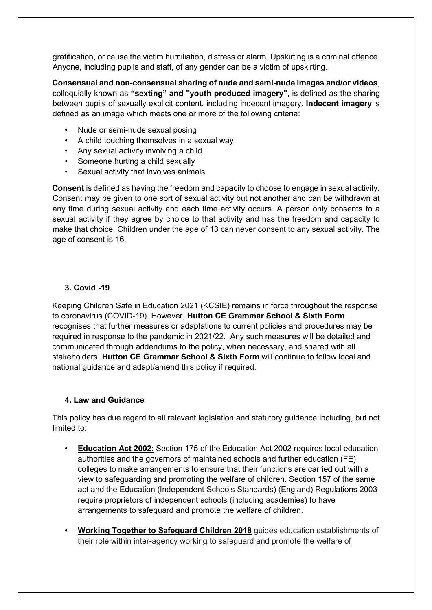gratification, or cause the victim humiliation, distress or alarm. Upskirting is a criminal offence. Anyone, including pupils and staff, of any gender can be a victim of upskirting.

**Consensual and non-consensual sharing of nude and semi-nude images and/or videos**, colloquially known as **"sexting" and "youth produced imagery"**, is defined as the sharing between pupils of sexually explicit content, including indecent imagery. **Indecent imagery** is defined as an image which meets one or more of the following criteria:

- Nude or semi-nude sexual posing
- A child touching themselves in a sexual way
- Any sexual activity involving a child
- Someone hurting a child sexually
- Sexual activity that involves animals

**Consent** is defined as having the freedom and capacity to choose to engage in sexual activity. Consent may be given to one sort of sexual activity but not another and can be withdrawn at any time during sexual activity and each time activity occurs. A person only consents to a sexual activity if they agree by choice to that activity and has the freedom and capacity to make that choice. Children under the age of 13 can never consent to any sexual activity. The age of consent is 16.

# **3. Covid -19**

Keeping Children Safe in Education 2021 (KCSIE) remains in force throughout the response to coronavirus (COVID-19). However, **Hutton CE Grammar School & Sixth Form** recognises that further measures or adaptations to current policies and procedures may be required in response to the pandemic in 2021/22. Any such measures will be detailed and communicated through addendums to the policy, when necessary, and shared with all stakeholders. **Hutton CE Grammar School & Sixth Form** will continue to follow local and national guidance and adapt/amend this policy if required.

#### **4. Law and Guidance**

This policy has due regard to all relevant legislation and statutory guidance including, but not limited to:

- **[Education Act 2002](http://www.legislation.gov.uk/ukpga/2002/32/contents)**[:](http://www.legislation.gov.uk/ukpga/2002/32/contents) [S](http://www.legislation.gov.uk/ukpga/2002/32/contents)ection 175 of the Education Act 2002 requires local education authorities and the governors of maintained schools and further education (FE) colleges to make arrangements to ensure that their functions are carried out with a view to safeguarding and promoting the welfare of children. Section 157 of the same act and the Education (Independent Schools Standards) (England) Regulations 2003 require proprietors of independent schools (including academies) to have arrangements to safeguard and promote the welfare of children.
- **[Working Together to Safeguard Children 2018](https://www.gov.uk/government/publications/working-together-to-safeguard-children--2)** guides education establishments of their role within inter-agency working to safeguard and promote the welfare of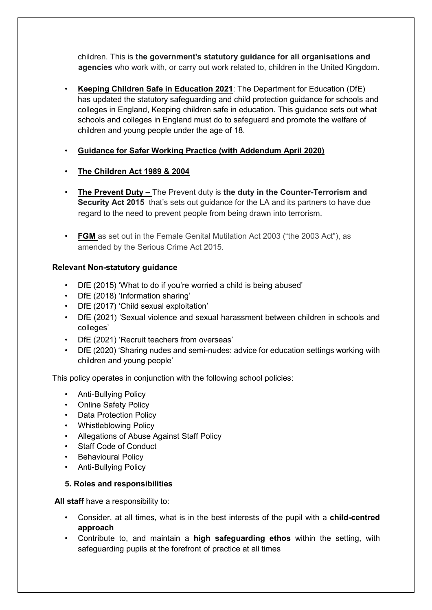children. This is **the government's statutory guidance for all organisations and agencies** who work with, or carry out work related to, children in the United Kingdom.

- **[Keeping Children Safe in Education 2021](https://assets.publishing.service.gov.uk/government/uploads/system/uploads/attachment_data/file/892394/Keeping_children_safe_in_education_2020.pdf)**: The Department for Education (DfE) has updated the statutory safeguarding and child protection guidance for schools and colleges in England, Keeping children safe in education. This guidance sets out what schools and colleges in England must do to safeguard and promote the welfare of children and young people under the age of 18.
- **[Guidance for Safer Working Practice \(with Addendum April 2020\)](https://www.saferrecruitmentconsortium.org/GSWP%20COVID%20addendum%20April%202020%20final-1.pdf)**
- **[The Children Act 1989](http://www.legislation.gov.uk/ukpga/1989/41/contents) [&](http://www.legislation.gov.uk/ukpga/1989/41/contents) 2004**
- **The Prevent Duty –** The Prevent duty is **the duty in the Counter-Terrorism and Security Act 2015** that's sets out guidance for the LA and its partners to have due regard to the need to prevent people from being drawn into terrorism.
- **FGM** as set out in the Female Genital Mutilation Act 2003 ("the 2003 Act"), as amended by the Serious Crime Act 2015.

# **Relevant Non-statutory guidance**

- DfE (2015) 'What to do if you're worried a child is being abused'
- DfE (2018) 'Information sharing'
- DfE (2017) 'Child sexual exploitation'
- DfE (2021) 'Sexual violence and sexual harassment between children in schools and colleges'
- DfE (2021) 'Recruit teachers from overseas'
- DfE (2020) 'Sharing nudes and semi-nudes: advice for education settings working with children and young people'

This policy operates in conjunction with the following school policies:

- Anti-Bullying Policy
- Online Safety Policy
- Data Protection Policy
- Whistleblowing Policy
- Allegations of Abuse Against Staff Policy
- Staff Code of Conduct
- Behavioural Policy
- Anti-Bullying Policy

# **5. Roles and responsibilities**

**All staff** have a responsibility to:

- Consider, at all times, what is in the best interests of the pupil with a **child-centred approach**
- Contribute to, and maintain a **high safeguarding ethos** within the setting, with safeguarding pupils at the forefront of practice at all times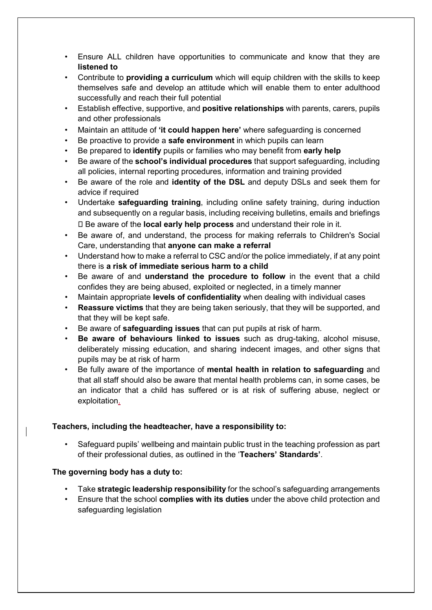- Ensure ALL children have opportunities to communicate and know that they are **listened to**
- Contribute to **providing a curriculum** which will equip children with the skills to keep themselves safe and develop an attitude which will enable them to enter adulthood successfully and reach their full potential
- Establish effective, supportive, and **positive relationships** with parents, carers, pupils and other professionals
- Maintain an attitude of **'it could happen here'** where safeguarding is concerned
- Be proactive to provide a **safe environment** in which pupils can learn
- Be prepared to **identify** pupils or families who may benefit from **early help**
- Be aware of the **school's individual procedures** that support safeguarding, including all policies, internal reporting procedures, information and training provided
- Be aware of the role and **identity of the DSL** and deputy DSLs and seek them for advice if required
- Undertake **safeguarding training**, including online safety training, during induction and subsequently on a regular basis, including receiving bulletins, emails and briefings Be aware of the **local early help process** and understand their role in it.
- Be aware of, and understand, the process for making referrals to Children's Social Care, understanding that **anyone can make a referral**
- Understand how to make a referral to CSC and/or the police immediately, if at any point there is **a risk of immediate serious harm to a child**
- Be aware of and **understand the procedure to follow** in the event that a child confides they are being abused, exploited or neglected, in a timely manner
- Maintain appropriate **levels of confidentiality** when dealing with individual cases
- **Reassure victims** that they are being taken seriously, that they will be supported, and that they will be kept safe.
- Be aware of **safeguarding issues** that can put pupils at risk of harm.
- **Be aware of behaviours linked to issues** such as drug-taking, alcohol misuse, deliberately missing education, and sharing indecent images, and other signs that pupils may be at risk of harm
- Be fully aware of the importance of **mental health in relation to safeguarding** and that all staff should also be aware that mental health problems can, in some cases, be an indicator that a child has suffered or is at risk of suffering abuse, neglect or exploitation.

#### **Teachers, including the headteacher, have a responsibility to:**

• Safeguard pupils' wellbeing and maintain public trust in the teaching profession as part of their professional duties, as outlined in the '**Teachers' Standards'**.

#### **The governing body has a duty to:**

- Take **strategic leadership responsibility** for the school's safeguarding arrangements
- Ensure that the school **complies with its duties** under the above child protection and safeguarding legislation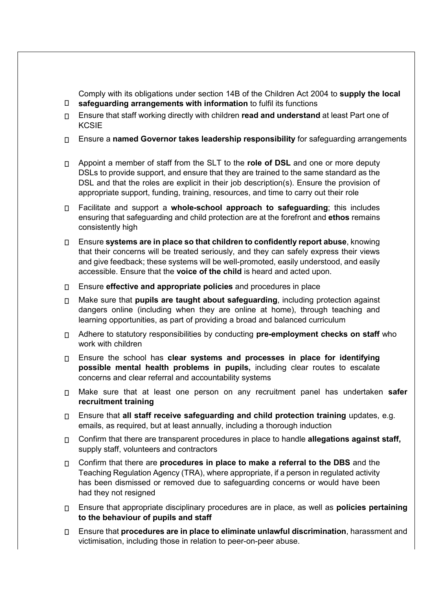**safeguarding arrangements with information** to fulfil its functions Comply with its obligations under section 14B of the Children Act 2004 to **supply the local** 

- Ensure that staff working directly with children **read and understand** at least Part one of **KCSIE**
- Ensure a **named Governor takes leadership responsibility** for safeguarding arrangements
- Appoint a member of staff from the SLT to the **role of DSL** and one or more deputy DSLs to provide support, and ensure that they are trained to the same standard as the DSL and that the roles are explicit in their job description(s). Ensure the provision of appropriate support, funding, training, resources, and time to carry out their role
- Facilitate and support a **whole-school approach to safeguarding**; this includes ensuring that safeguarding and child protection are at the forefront and **ethos** remains consistently high
- Ensure **systems are in place so that children to confidently report abuse**, knowing that their concerns will be treated seriously, and they can safely express their views and give feedback; these systems will be well-promoted, easily understood, and easily accessible. Ensure that the **voice of the child** is heard and acted upon.
- Ensure **effective and appropriate policies** and procedures in place
- Make sure that **pupils are taught about safeguarding**, including protection against dangers online (including when they are online at home), through teaching and learning opportunities, as part of providing a broad and balanced curriculum
- Adhere to statutory responsibilities by conducting **pre-employment checks on staff** who work with children
- Ensure the school has **clear systems and processes in place for identifying possible mental health problems in pupils,** including clear routes to escalate concerns and clear referral and accountability systems
- Make sure that at least one person on any recruitment panel has undertaken **safer recruitment training**
- Ensure that **all staff receive safeguarding and child protection training** updates, e.g. emails, as required, but at least annually, including a thorough induction
- Confirm that there are transparent procedures in place to handle **allegations against staff,** supply staff, volunteers and contractors
- Confirm that there are **procedures in place to make a referral to the DBS** and the Teaching Regulation Agency (TRA), where appropriate, if a person in regulated activity has been dismissed or removed due to safeguarding concerns or would have been had they not resigned
- Ensure that appropriate disciplinary procedures are in place, as well as **policies pertaining to the behaviour of pupils and staff**
- Ensure that **procedures are in place to eliminate unlawful discrimination**, harassment and victimisation, including those in relation to peer-on-peer abuse.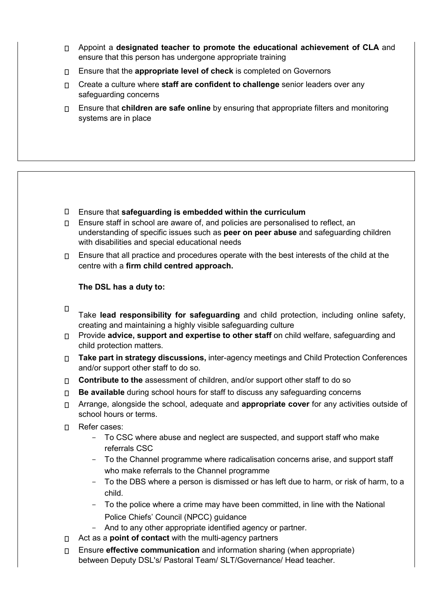- Appoint a **designated teacher to promote the educational achievement of CLA** and ensure that this person has undergone appropriate training
- Ensure that the **appropriate level of check** is completed on Governors
- Create a culture where **staff are confident to challenge** senior leaders over any safeguarding concerns
- Ensure that **children are safe online** by ensuring that appropriate filters and monitoring systems are in place

- Ensure that **safeguarding is embedded within the curriculum**
- $\Box$  Ensure staff in school are aware of, and policies are personalised to reflect, an understanding of specific issues such as **peer on peer abuse** and safeguarding children with disabilities and special educational needs
- $\Box$  Ensure that all practice and procedures operate with the best interests of the child at the centre with a **firm child centred approach.**

### **The DSL has a duty to:**

- $\Box$ 
	- Take **lead responsibility for safeguarding** and child protection, including online safety, creating and maintaining a highly visible safeguarding culture
- Provide **advice, support and expertise to other staff** on child welfare, safeguarding and child protection matters.
- **Take part in strategy discussions,** inter-agency meetings and Child Protection Conferences and/or support other staff to do so.
- **Contribute to the** assessment of children, and/or support other staff to do so
- **Be available** during school hours for staff to discuss any safeguarding concerns
- Arrange, alongside the school, adequate and **appropriate cover** for any activities outside of school hours or terms.
- n Refer cases:
	- To CSC where abuse and neglect are suspected, and support staff who make referrals CSC
	- To the Channel programme where radicalisation concerns arise, and support staff who make referrals to the Channel programme
	- To the DBS where a person is dismissed or has left due to harm, or risk of harm, to a child.
	- To the police where a crime may have been committed, in line with the National Police Chiefs' Council (NPCC) guidance
	- And to any other appropriate identified agency or partner.
- Act as a **point of contact** with the multi-agency partners
- Ensure **effective communication** and information sharing (when appropriate) between Deputy DSL's/ Pastoral Team/ SLT/Governance/ Head teacher.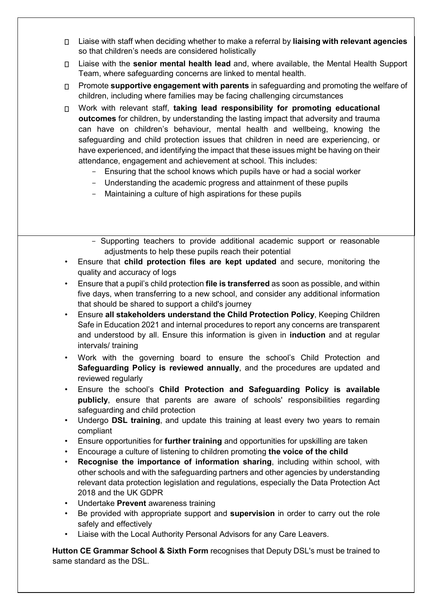- Liaise with staff when deciding whether to make a referral by **liaising with relevant agencies** so that children's needs are considered holistically
- Liaise with the **senior mental health lead** and, where available, the Mental Health Support Team, where safeguarding concerns are linked to mental health.
- Promote **supportive engagement with parents** in safeguarding and promoting the welfare of children, including where families may be facing challenging circumstances
- Work with relevant staff, **taking lead responsibility for promoting educational outcomes** for children, by understanding the lasting impact that adversity and trauma can have on children's behaviour, mental health and wellbeing, knowing the safeguarding and child protection issues that children in need are experiencing, or have experienced, and identifying the impact that these issues might be having on their attendance, engagement and achievement at school. This includes:
	- Ensuring that the school knows which pupils have or had a social worker
	- Understanding the academic progress and attainment of these pupils
	- Maintaining a culture of high aspirations for these pupils
	- Supporting teachers to provide additional academic support or reasonable adjustments to help these pupils reach their potential
- Ensure that **child protection files are kept updated** and secure, monitoring the quality and accuracy of logs
- Ensure that a pupil's child protection **file is transferred** as soon as possible, and within five days, when transferring to a new school, and consider any additional information that should be shared to support a child's journey
- Ensure **all stakeholders understand the Child Protection Policy**, Keeping Children Safe in Education 2021 and internal procedures to report any concerns are transparent and understood by all. Ensure this information is given in **induction** and at regular intervals/ training
- Work with the governing board to ensure the school's Child Protection and **Safeguarding Policy is reviewed annually**, and the procedures are updated and reviewed regularly
- Ensure the school's **Child Protection and Safeguarding Policy is available publicly**, ensure that parents are aware of schools' responsibilities regarding safeguarding and child protection
- Undergo **DSL training**, and update this training at least every two years to remain compliant
- Ensure opportunities for **further training** and opportunities for upskilling are taken
- Encourage a culture of listening to children promoting **the voice of the child**
- **Recognise the importance of information sharing**, including within school, with other schools and with the safeguarding partners and other agencies by understanding relevant data protection legislation and regulations, especially the Data Protection Act 2018 and the UK GDPR
- Undertake **Prevent** awareness training
- Be provided with appropriate support and **supervision** in order to carry out the role safely and effectively
- Liaise with the Local Authority Personal Advisors for any Care Leavers.

**Hutton CE Grammar School & Sixth Form** recognises that Deputy DSL's must be trained to same standard as the DSL.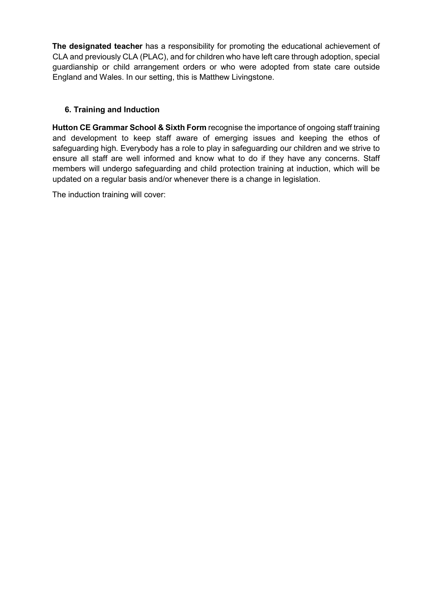**The designated teacher** has a responsibility for promoting the educational achievement of CLA and previously CLA (PLAC), and for children who have left care through adoption, special guardianship or child arrangement orders or who were adopted from state care outside England and Wales. In our setting, this is Matthew Livingstone.

# **6. Training and Induction**

**Hutton CE Grammar School & Sixth Form** recognise the importance of ongoing staff training and development to keep staff aware of emerging issues and keeping the ethos of safeguarding high. Everybody has a role to play in safeguarding our children and we strive to ensure all staff are well informed and know what to do if they have any concerns. Staff members will undergo safeguarding and child protection training at induction, which will be updated on a regular basis and/or whenever there is a change in legislation.

The induction training will cover: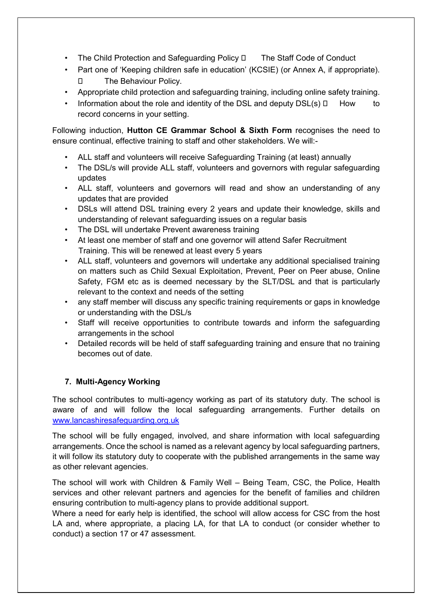- The Child Protection and Safeguarding Policy  $\Box$  The Staff Code of Conduct
- Part one of 'Keeping children safe in education' (KCSIE) (or Annex A, if appropriate). □ The Behaviour Policy.
- Appropriate child protection and safeguarding training, including online safety training.
- Information about the role and identity of the DSL and deputy  $DSL(s) \Box$  How to record concerns in your setting.

Following induction, **Hutton CE Grammar School & Sixth Form** recognises the need to ensure continual, effective training to staff and other stakeholders. We will:-

- ALL staff and volunteers will receive Safeguarding Training (at least) annually
- The DSL/s will provide ALL staff, volunteers and governors with regular safeguarding updates
- ALL staff, volunteers and governors will read and show an understanding of any updates that are provided
- DSLs will attend DSL training every 2 years and update their knowledge, skills and understanding of relevant safeguarding issues on a regular basis
- The DSL will undertake Prevent awareness training
- At least one member of staff and one governor will attend Safer Recruitment Training. This will be renewed at least every 5 years
- ALL staff, volunteers and governors will undertake any additional specialised training on matters such as Child Sexual Exploitation, Prevent, Peer on Peer abuse, Online Safety, FGM etc as is deemed necessary by the SLT/DSL and that is particularly relevant to the context and needs of the setting
- any staff member will discuss any specific training requirements or gaps in knowledge or understanding with the DSL/s
- Staff will receive opportunities to contribute towards and inform the safeguarding arrangements in the school
- Detailed records will be held of staff safeguarding training and ensure that no training becomes out of date.

# **7. Multi-Agency Working**

The school contributes to multi-agency working as part of its statutory duty. The school is aware of and will follow the local safeguarding arrangements. Further details on [www.lancashiresafeguarding.org.uk](http://www.lancashiresafeguarding.org.uk/)

The school will be fully engaged, involved, and share information with local safeguarding arrangements. Once the school is named as a relevant agency by local safeguarding partners, it will follow its statutory duty to cooperate with the published arrangements in the same way as other relevant agencies.

The school will work with Children & Family Well – Being Team, CSC, the Police, Health services and other relevant partners and agencies for the benefit of families and children ensuring contribution to multi-agency plans to provide additional support.

Where a need for early help is identified, the school will allow access for CSC from the host LA and, where appropriate, a placing LA, for that LA to conduct (or consider whether to conduct) a section 17 or 47 assessment.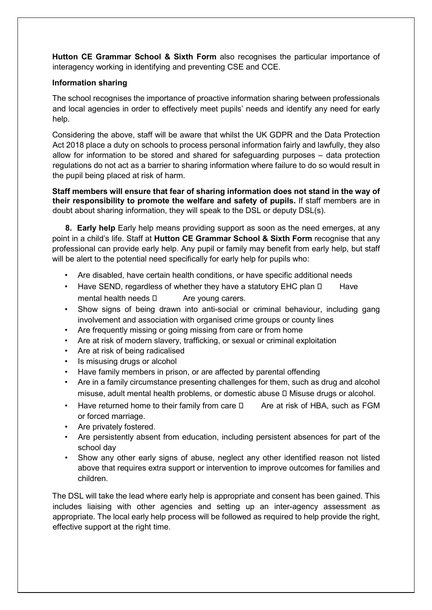**Hutton CE Grammar School & Sixth Form** also recognises the particular importance of interagency working in identifying and preventing CSE and CCE.

#### **Information sharing**

The school recognises the importance of proactive information sharing between professionals and local agencies in order to effectively meet pupils' needs and identify any need for early help.

Considering the above, staff will be aware that whilst the UK GDPR and the Data Protection Act 2018 place a duty on schools to process personal information fairly and lawfully, they also allow for information to be stored and shared for safeguarding purposes – data protection regulations do not act as a barrier to sharing information where failure to do so would result in the pupil being placed at risk of harm.

**Staff members will ensure that fear of sharing information does not stand in the way of their responsibility to promote the welfare and safety of pupils.** If staff members are in doubt about sharing information, they will speak to the DSL or deputy DSL(s).

**8. Early help** Early help means providing support as soon as the need emerges, at any point in a child's life. Staff at **Hutton CE Grammar School & Sixth Form** recognise that any professional can provide early help. Any pupil or family may benefit from early help, but staff will be alert to the potential need specifically for early help for pupils who:

- Are disabled, have certain health conditions, or have specific additional needs
- Have SEND, regardless of whether they have a statutory EHC plan  $\Box$  Have mental health needs  $\Box$  Are young carers.
- Show signs of being drawn into anti-social or criminal behaviour, including gang involvement and association with organised crime groups or county lines
- Are frequently missing or going missing from care or from home
- Are at risk of modern slavery, trafficking, or sexual or criminal exploitation
- Are at risk of being radicalised
- Is misusing drugs or alcohol
- Have family members in prison, or are affected by parental offending
- Are in a family circumstance presenting challenges for them, such as drug and alcohol misuse, adult mental health problems, or domestic abuse  $\square$  Misuse drugs or alcohol.
- Have returned home to their family from care  $\Box$  Are at risk of HBA, such as FGM or forced marriage.
- Are privately fostered.
- Are persistently absent from education, including persistent absences for part of the school day
- Show any other early signs of abuse, neglect any other identified reason not listed above that requires extra support or intervention to improve outcomes for families and children.

The DSL will take the lead where early help is appropriate and consent has been gained. This includes liaising with other agencies and setting up an inter-agency assessment as appropriate. The local early help process will be followed as required to help provide the right, effective support at the right time.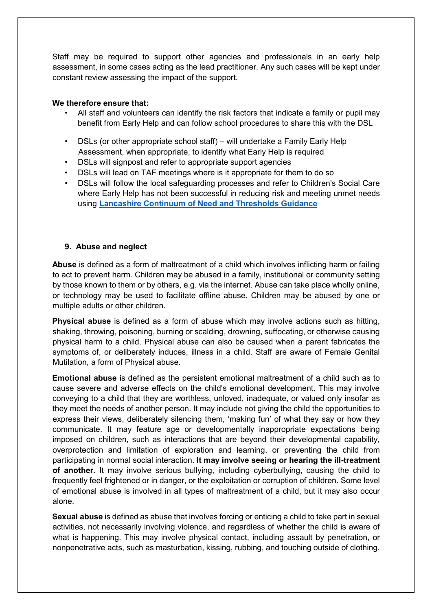Staff may be required to support other agencies and professionals in an early help assessment, in some cases acting as the lead practitioner. Any such cases will be kept under constant review assessing the impact of the support.

#### **We therefore ensure that:**

- All staff and volunteers can identify the risk factors that indicate a family or pupil may benefit from Early Help and can follow school procedures to share this with the DSL
- DSLs (or other appropriate school staff) will undertake a Family Early Help Assessment, when appropriate, to identify what Early Help is required
- DSLs will signpost and refer to appropriate support agencies
- DSLs will lead on TAF meetings where is it appropriate for them to do so
- DSLs will follow the local safeguarding processes and refer to Children's Social Care where Early Help has not been successful in reducing risk and meeting unmet needs using **[Lancashire Continuum of Need and Thresholds Guidance](http://www.lancashiresafeguarding.org.uk/resources/assessment-and-referral.aspx)**

#### **9. Abuse and neglect**

**Abuse** is defined as a form of maltreatment of a child which involves inflicting harm or failing to act to prevent harm. Children may be abused in a family, institutional or community setting by those known to them or by others, e.g. via the internet. Abuse can take place wholly online, or technology may be used to facilitate offline abuse. Children may be abused by one or multiple adults or other children.

**Physical abuse** is defined as a form of abuse which may involve actions such as hitting, shaking, throwing, poisoning, burning or scalding, drowning, suffocating, or otherwise causing physical harm to a child. Physical abuse can also be caused when a parent fabricates the symptoms of, or deliberately induces, illness in a child. Staff are aware of Female Genital Mutilation, a form of Physical abuse.

**Emotional abuse** is defined as the persistent emotional maltreatment of a child such as to cause severe and adverse effects on the child's emotional development. This may involve conveying to a child that they are worthless, unloved, inadequate, or valued only insofar as they meet the needs of another person. It may include not giving the child the opportunities to express their views, deliberately silencing them, 'making fun' of what they say or how they communicate. It may feature age or developmentally inappropriate expectations being imposed on children, such as interactions that are beyond their developmental capability, overprotection and limitation of exploration and learning, or preventing the child from participating in normal social interaction. **It may involve seeing or hearing the ill-treatment of another.** It may involve serious bullying, including cyberbullying, causing the child to frequently feel frightened or in danger, or the exploitation or corruption of children. Some level of emotional abuse is involved in all types of maltreatment of a child, but it may also occur alone.

**Sexual abuse** is defined as abuse that involves forcing or enticing a child to take part in sexual activities, not necessarily involving violence, and regardless of whether the child is aware of what is happening. This may involve physical contact, including assault by penetration, or nonpenetrative acts, such as masturbation, kissing, rubbing, and touching outside of clothing.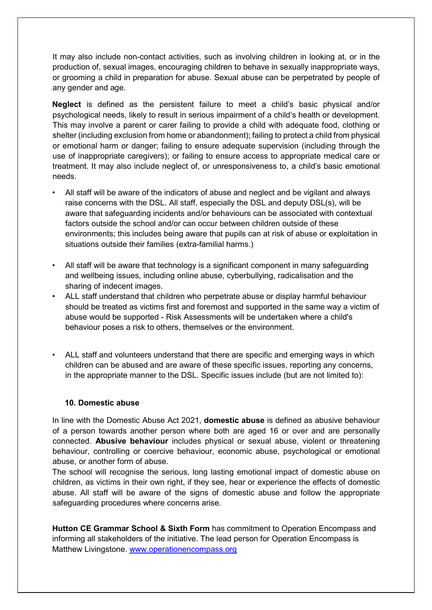It may also include non-contact activities, such as involving children in looking at, or in the production of, sexual images, encouraging children to behave in sexually inappropriate ways, or grooming a child in preparation for abuse. Sexual abuse can be perpetrated by people of any gender and age.

**Neglect** is defined as the persistent failure to meet a child's basic physical and/or psychological needs, likely to result in serious impairment of a child's health or development. This may involve a parent or carer failing to provide a child with adequate food, clothing or shelter (including exclusion from home or abandonment); failing to protect a child from physical or emotional harm or danger; failing to ensure adequate supervision (including through the use of inappropriate caregivers); or failing to ensure access to appropriate medical care or treatment. It may also include neglect of, or unresponsiveness to, a child's basic emotional needs.

- All staff will be aware of the indicators of abuse and neglect and be vigilant and always raise concerns with the DSL. All staff, especially the DSL and deputy DSL(s), will be aware that safeguarding incidents and/or behaviours can be associated with contextual factors outside the school and/or can occur between children outside of these environments; this includes being aware that pupils can at risk of abuse or exploitation in situations outside their families (extra-familial harms.)
- All staff will be aware that technology is a significant component in many safeguarding and wellbeing issues, including online abuse, cyberbullying, radicalisation and the sharing of indecent images.
- ALL staff understand that children who perpetrate abuse or display harmful behaviour should be treated as victims first and foremost and supported in the same way a victim of abuse would be supported - Risk Assessments will be undertaken where a child's behaviour poses a risk to others, themselves or the environment.
- ALL staff and volunteers understand that there are specific and emerging ways in which children can be abused and are aware of these specific issues, reporting any concerns, in the appropriate manner to the DSL. Specific issues include (but are not limited to):

#### **10. Domestic abuse**

In line with the Domestic Abuse Act 2021, **domestic abuse** is defined as abusive behaviour of a person towards another person where both are aged 16 or over and are personally connected. **Abusive behaviour** includes physical or sexual abuse, violent or threatening behaviour, controlling or coercive behaviour, economic abuse, psychological or emotional abuse, or another form of abuse.

The school will recognise the serious, long lasting emotional impact of domestic abuse on children, as victims in their own right, if they see, hear or experience the effects of domestic abuse. All staff will be aware of the signs of domestic abuse and follow the appropriate safeguarding procedures where concerns arise.

**Hutton CE Grammar School & Sixth Form** has commitment to Operation Encompass and informing all stakeholders of the initiative. The lead person for Operation Encompass is Matthew Livingstone. [www.operationencompass.org](http://www.operationencompass.org/)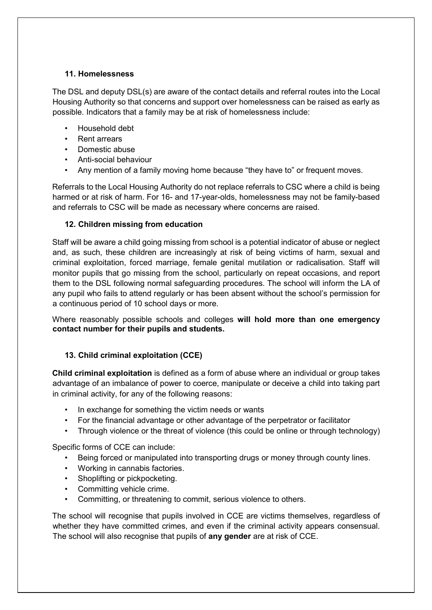#### **11. Homelessness**

The DSL and deputy DSL(s) are aware of the contact details and referral routes into the Local Housing Authority so that concerns and support over homelessness can be raised as early as possible. Indicators that a family may be at risk of homelessness include:

- Household debt
- Rent arrears
- Domestic abuse
- Anti-social behaviour
- Any mention of a family moving home because "they have to" or frequent moves.

Referrals to the Local Housing Authority do not replace referrals to CSC where a child is being harmed or at risk of harm. For 16- and 17-year-olds, homelessness may not be family-based and referrals to CSC will be made as necessary where concerns are raised.

# **12. Children missing from education**

Staff will be aware a child going missing from school is a potential indicator of abuse or neglect and, as such, these children are increasingly at risk of being victims of harm, sexual and criminal exploitation, forced marriage, female genital mutilation or radicalisation. Staff will monitor pupils that go missing from the school, particularly on repeat occasions, and report them to the DSL following normal safeguarding procedures. The school will inform the LA of any pupil who fails to attend regularly or has been absent without the school's permission for a continuous period of 10 school days or more.

Where reasonably possible schools and colleges **will hold more than one emergency contact number for their pupils and students.** 

# **13. Child criminal exploitation (CCE)**

**Child criminal exploitation** is defined as a form of abuse where an individual or group takes advantage of an imbalance of power to coerce, manipulate or deceive a child into taking part in criminal activity, for any of the following reasons:

- In exchange for something the victim needs or wants
- For the financial advantage or other advantage of the perpetrator or facilitator
- Through violence or the threat of violence (this could be online or through technology)

Specific forms of CCE can include:

- Being forced or manipulated into transporting drugs or money through county lines.
- Working in cannabis factories.
- Shoplifting or pickpocketing.
- Committing vehicle crime.
- Committing, or threatening to commit, serious violence to others.

The school will recognise that pupils involved in CCE are victims themselves, regardless of whether they have committed crimes, and even if the criminal activity appears consensual. The school will also recognise that pupils of **any gender** are at risk of CCE.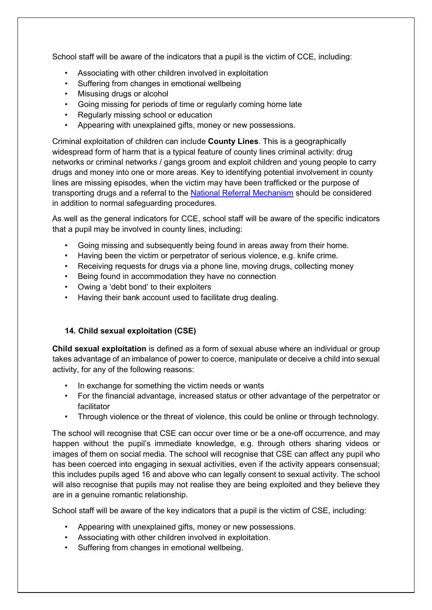School staff will be aware of the indicators that a pupil is the victim of CCE, including:

- Associating with other children involved in exploitation
- Suffering from changes in emotional wellbeing
- Misusing drugs or alcohol
- Going missing for periods of time or regularly coming home late
- Regularly missing school or education
- Appearing with unexplained gifts, money or new possessions.

Criminal exploitation of children can include **County Lines**. This is a geographically widespread form of harm that is a typical feature of county lines criminal activity: drug networks or criminal networks / gangs groom and exploit children and young people to carry drugs and money into one or more areas. Key to identifying potential involvement in county lines are missing episodes, when the victim may have been trafficked or the purpose of transporting drugs and a referral to the [National Referral Mechanism](https://www.gov.uk/government/publications/human-trafficking-victims-referral-and-assessment-forms/guidance-on-the-national-referral-mechanism-for-potential-adult-victims-of-modern-slavery-england-and-wales#what-the-national-referral-mechanism-is) should be considered in addition to normal safeguarding procedures.

As well as the general indicators for CCE, school staff will be aware of the specific indicators that a pupil may be involved in county lines, including:

- Going missing and subsequently being found in areas away from their home.
- Having been the victim or perpetrator of serious violence, e.g. knife crime.
- Receiving requests for drugs via a phone line, moving drugs, collecting money
- Being found in accommodation they have no connection
- Owing a 'debt bond' to their exploiters
- Having their bank account used to facilitate drug dealing.

# **14. Child sexual exploitation (CSE)**

**Child sexual exploitation** is defined as a form of sexual abuse where an individual or group takes advantage of an imbalance of power to coerce, manipulate or deceive a child into sexual activity, for any of the following reasons:

- In exchange for something the victim needs or wants
- For the financial advantage, increased status or other advantage of the perpetrator or facilitator
- Through violence or the threat of violence, this could be online or through technology.

The school will recognise that CSE can occur over time or be a one-off occurrence, and may happen without the pupil's immediate knowledge, e.g. through others sharing videos or images of them on social media. The school will recognise that CSE can affect any pupil who has been coerced into engaging in sexual activities, even if the activity appears consensual; this includes pupils aged 16 and above who can legally consent to sexual activity. The school will also recognise that pupils may not realise they are being exploited and they believe they are in a genuine romantic relationship.

School staff will be aware of the key indicators that a pupil is the victim of CSE, including:

- Appearing with unexplained gifts, money or new possessions.
- Associating with other children involved in exploitation.
- Suffering from changes in emotional wellbeing.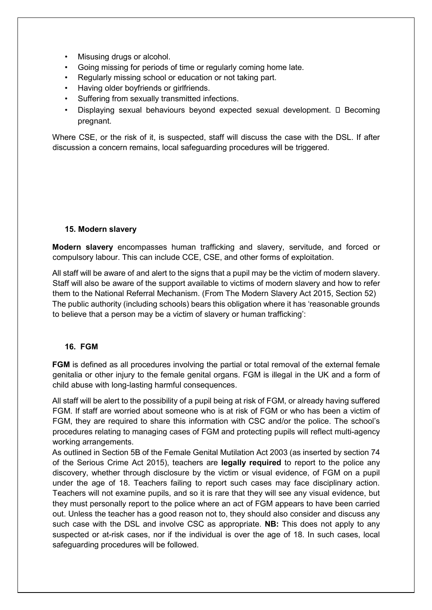- Misusing drugs or alcohol.
- Going missing for periods of time or regularly coming home late.
- Regularly missing school or education or not taking part.
- Having older boyfriends or girlfriends.
- Suffering from sexually transmitted infections.
- Displaying sexual behaviours beyond expected sexual development.  $\square$  Becoming pregnant.

Where CSE, or the risk of it, is suspected, staff will discuss the case with the DSL. If after discussion a concern remains, local safeguarding procedures will be triggered.

#### **15. Modern slavery**

**Modern slavery** encompasses human trafficking and slavery, servitude, and forced or compulsory labour. This can include CCE, CSE, and other forms of exploitation.

All staff will be aware of and alert to the signs that a pupil may be the victim of modern slavery. Staff will also be aware of the support available to victims of modern slavery and how to refer them to the National Referral Mechanism. (From The Modern Slavery Act 2015, Section 52) The public authority (including schools) bears this obligation where it has 'reasonable grounds to believe that a person may be a victim of slavery or human trafficking':

# **16. FGM**

**FGM** is defined as all procedures involving the partial or total removal of the external female genitalia or other injury to the female genital organs. FGM is illegal in the UK and a form of child abuse with long-lasting harmful consequences.

All staff will be alert to the possibility of a pupil being at risk of FGM, or already having suffered FGM. If staff are worried about someone who is at risk of FGM or who has been a victim of FGM, they are required to share this information with CSC and/or the police. The school's procedures relating to managing cases of FGM and protecting pupils will reflect multi-agency working arrangements.

As outlined in Section 5B of the Female Genital Mutilation Act 2003 (as inserted by section 74 of the Serious Crime Act 2015), teachers are **legally required** to report to the police any discovery, whether through disclosure by the victim or visual evidence, of FGM on a pupil under the age of 18. Teachers failing to report such cases may face disciplinary action. Teachers will not examine pupils, and so it is rare that they will see any visual evidence, but they must personally report to the police where an act of FGM appears to have been carried out. Unless the teacher has a good reason not to, they should also consider and discuss any such case with the DSL and involve CSC as appropriate. **NB:** This does not apply to any suspected or at-risk cases, nor if the individual is over the age of 18. In such cases, local safeguarding procedures will be followed.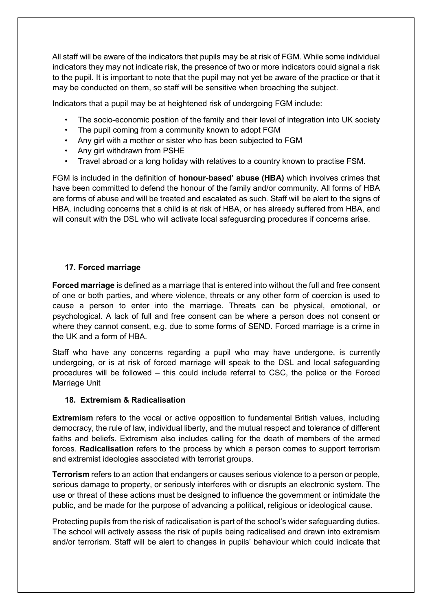All staff will be aware of the indicators that pupils may be at risk of FGM. While some individual indicators they may not indicate risk, the presence of two or more indicators could signal a risk to the pupil. It is important to note that the pupil may not yet be aware of the practice or that it may be conducted on them, so staff will be sensitive when broaching the subject.

Indicators that a pupil may be at heightened risk of undergoing FGM include:

- The socio-economic position of the family and their level of integration into UK society
- The pupil coming from a community known to adopt FGM
- Any girl with a mother or sister who has been subjected to FGM
- Any girl withdrawn from PSHE
- Travel abroad or a long holiday with relatives to a country known to practise FSM.

FGM is included in the definition of **honour-based' abuse (HBA)** which involves crimes that have been committed to defend the honour of the family and/or community. All forms of HBA are forms of abuse and will be treated and escalated as such. Staff will be alert to the signs of HBA, including concerns that a child is at risk of HBA, or has already suffered from HBA, and will consult with the DSL who will activate local safeguarding procedures if concerns arise.

### **17. Forced marriage**

**Forced marriage** is defined as a marriage that is entered into without the full and free consent of one or both parties, and where violence, threats or any other form of coercion is used to cause a person to enter into the marriage. Threats can be physical, emotional, or psychological. A lack of full and free consent can be where a person does not consent or where they cannot consent, e.g. due to some forms of SEND. Forced marriage is a crime in the UK and a form of HBA.

Staff who have any concerns regarding a pupil who may have undergone, is currently undergoing, or is at risk of forced marriage will speak to the DSL and local safeguarding procedures will be followed – this could include referral to CSC, the police or the Forced Marriage Unit

#### **18. Extremism & Radicalisation**

**Extremism** refers to the vocal or active opposition to fundamental British values, including democracy, the rule of law, individual liberty, and the mutual respect and tolerance of different faiths and beliefs. Extremism also includes calling for the death of members of the armed forces. **Radicalisation** refers to the process by which a person comes to support terrorism and extremist ideologies associated with terrorist groups.

**Terrorism** refers to an action that endangers or causes serious violence to a person or people, serious damage to property, or seriously interferes with or disrupts an electronic system. The use or threat of these actions must be designed to influence the government or intimidate the public, and be made for the purpose of advancing a political, religious or ideological cause.

Protecting pupils from the risk of radicalisation is part of the school's wider safeguarding duties. The school will actively assess the risk of pupils being radicalised and drawn into extremism and/or terrorism. Staff will be alert to changes in pupils' behaviour which could indicate that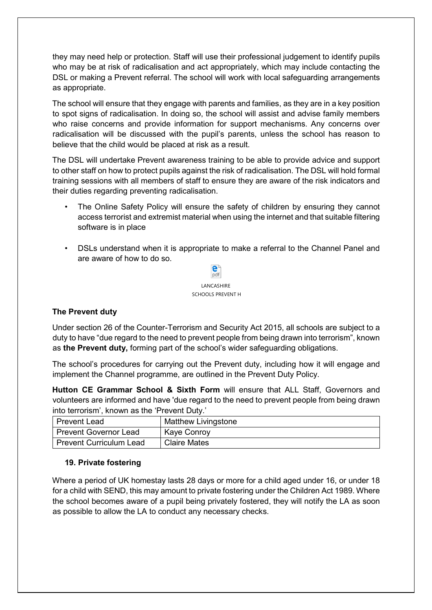they may need help or protection. Staff will use their professional judgement to identify pupils who may be at risk of radicalisation and act appropriately, which may include contacting the DSL or making a Prevent referral. The school will work with local safeguarding arrangements as appropriate.

The school will ensure that they engage with parents and families, as they are in a key position to spot signs of radicalisation. In doing so, the school will assist and advise family members who raise concerns and provide information for support mechanisms. Any concerns over radicalisation will be discussed with the pupil's parents, unless the school has reason to believe that the child would be placed at risk as a result.

The DSL will undertake Prevent awareness training to be able to provide advice and support to other staff on how to protect pupils against the risk of radicalisation. The DSL will hold formal training sessions with all members of staff to ensure they are aware of the risk indicators and their duties regarding preventing radicalisation.

- The Online Safety Policy will ensure the safety of children by ensuring they cannot access terrorist and extremist material when using the internet and that suitable filtering software is in place
- DSLs understand when it is appropriate to make a referral to the Channel Panel and are aware of how to do so.



# **The Prevent duty**

Under section 26 of the Counter-Terrorism and Security Act 2015, all schools are subject to a duty to have "due regard to the need to prevent people from being drawn into terrorism", known as **the Prevent duty,** forming part of the school's wider safeguarding obligations.

The school's procedures for carrying out the Prevent duty, including how it will engage and implement the Channel programme, are outlined in the Prevent Duty Policy.

**Hutton CE Grammar School & Sixth Form** will ensure that ALL Staff, Governors and volunteers are informed and have 'due regard to the need to prevent people from being drawn into terrorism', known as the 'Prevent Duty.'

| <b>Prevent Lead</b>            | Matthew Livingstone |
|--------------------------------|---------------------|
| <b>Prevent Governor Lead</b>   | Kaye Conroy         |
| <b>Prevent Curriculum Lead</b> | <b>Claire Mates</b> |

#### **19. Private fostering**

Where a period of UK homestay lasts 28 days or more for a child aged under 16, or under 18 for a child with SEND, this may amount to private fostering under the Children Act 1989. Where the school becomes aware of a pupil being privately fostered, they will notify the LA as soon as possible to allow the LA to conduct any necessary checks.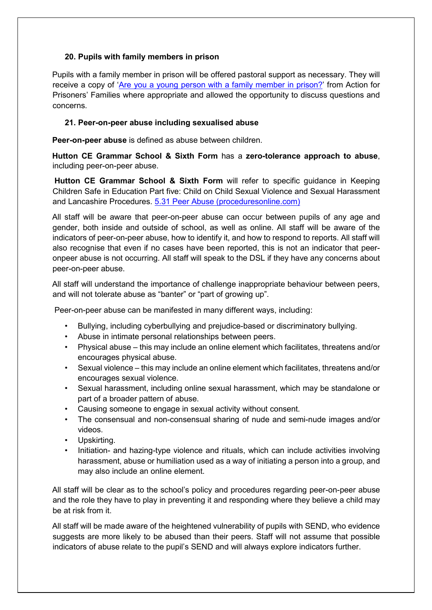### **20. Pupils with family members in prison**

Pupils with a family member in prison will be offered pastoral support as necessary. They will receive a copy of ['Are you a young person with a family member in prison?'](https://www.nicco.org.uk/directory-of-resources) from Action for Prisoners' Families where appropriate and allowed the opportunity to discuss questions and concerns.

### **21. Peer-on-peer abuse including sexualised abuse**

**Peer-on-peer abuse** is defined as abuse between children.

**Hutton CE Grammar School & Sixth Form** has a **zero-tolerance approach to abuse**, including peer-on-peer abuse.

**Hutton CE Grammar School & Sixth Form** will refer to specific guidance in Keeping Children Safe in Education Part five: Child on Child Sexual Violence and Sexual Harassment and Lancashire Procedures. [5.31 Peer Abuse \(proceduresonline.com\)](https://panlancashirescb.proceduresonline.com/chapters/p_peer_abuse.html)

All staff will be aware that peer-on-peer abuse can occur between pupils of any age and gender, both inside and outside of school, as well as online. All staff will be aware of the indicators of peer-on-peer abuse, how to identify it, and how to respond to reports. All staff will also recognise that even if no cases have been reported, this is not an indicator that peeronpeer abuse is not occurring. All staff will speak to the DSL if they have any concerns about peer-on-peer abuse.

All staff will understand the importance of challenge inappropriate behaviour between peers, and will not tolerate abuse as "banter" or "part of growing up".

Peer-on-peer abuse can be manifested in many different ways, including:

- Bullying, including cyberbullying and prejudice-based or discriminatory bullying.
- Abuse in intimate personal relationships between peers.
- Physical abuse this may include an online element which facilitates, threatens and/or encourages physical abuse.
- Sexual violence this may include an online element which facilitates, threatens and/or encourages sexual violence.
- Sexual harassment, including online sexual harassment, which may be standalone or part of a broader pattern of abuse.
- Causing someone to engage in sexual activity without consent.
- The consensual and non-consensual sharing of nude and semi-nude images and/or videos.
- Upskirting.
- Initiation- and hazing-type violence and rituals, which can include activities involving harassment, abuse or humiliation used as a way of initiating a person into a group, and may also include an online element.

All staff will be clear as to the school's policy and procedures regarding peer-on-peer abuse and the role they have to play in preventing it and responding where they believe a child may be at risk from it.

All staff will be made aware of the heightened vulnerability of pupils with SEND, who evidence suggests are more likely to be abused than their peers. Staff will not assume that possible indicators of abuse relate to the pupil's SEND and will always explore indicators further.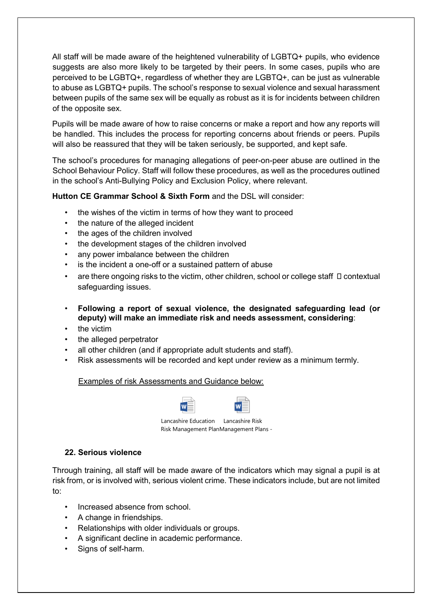All staff will be made aware of the heightened vulnerability of LGBTQ+ pupils, who evidence suggests are also more likely to be targeted by their peers. In some cases, pupils who are perceived to be LGBTQ+, regardless of whether they are LGBTQ+, can be just as vulnerable to abuse as LGBTQ+ pupils. The school's response to sexual violence and sexual harassment between pupils of the same sex will be equally as robust as it is for incidents between children of the opposite sex.

Pupils will be made aware of how to raise concerns or make a report and how any reports will be handled. This includes the process for reporting concerns about friends or peers. Pupils will also be reassured that they will be taken seriously, be supported, and kept safe.

The school's procedures for managing allegations of peer-on-peer abuse are outlined in the School Behaviour Policy. Staff will follow these procedures, as well as the procedures outlined in the school's Anti-Bullying Policy and Exclusion Policy, where relevant.

# **Hutton CE Grammar School & Sixth Form** and the DSL will consider:

- the wishes of the victim in terms of how they want to proceed
- the nature of the alleged incident
- the ages of the children involved
- the development stages of the children involved
- any power imbalance between the children
- is the incident a one-off or a sustained pattern of abuse
- are there ongoing risks to the victim, other children, school or college staff  $\Box$  contextual safeguarding issues.
- **Following a report of sexual violence, the designated safeguarding lead (or deputy) will make an immediate risk and needs assessment, considering**:
- the victim
- the alleged perpetrator
- all other children (and if appropriate adult students and staff).
- Risk assessments will be recorded and kept under review as a minimum termly.

# Examples of risk Assessments and Guidance below:

| W |  |
|---|--|
|   |  |

Lancashire Education Lancashire Risk Risk Management PlanManagement Plans -

# **22. Serious violence**

Through training, all staff will be made aware of the indicators which may signal a pupil is at risk from, or is involved with, serious violent crime. These indicators include, but are not limited to:

- Increased absence from school.
- A change in friendships.
- Relationships with older individuals or groups.
- A significant decline in academic performance.
- Signs of self-harm.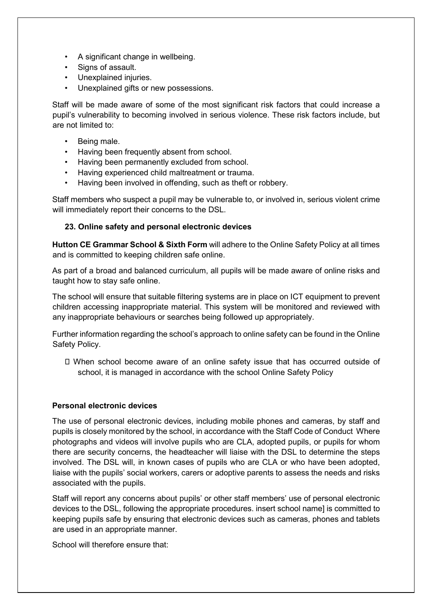- A significant change in wellbeing.
- Signs of assault.
- Unexplained injuries.
- Unexplained gifts or new possessions.

Staff will be made aware of some of the most significant risk factors that could increase a pupil's vulnerability to becoming involved in serious violence. These risk factors include, but are not limited to:

- Being male.
- Having been frequently absent from school.
- Having been permanently excluded from school.
- Having experienced child maltreatment or trauma.
- Having been involved in offending, such as theft or robbery.

Staff members who suspect a pupil may be vulnerable to, or involved in, serious violent crime will immediately report their concerns to the DSL.

#### **23. Online safety and personal electronic devices**

**Hutton CE Grammar School & Sixth Form** will adhere to the Online Safety Policy at all times and is committed to keeping children safe online.

As part of a broad and balanced curriculum, all pupils will be made aware of online risks and taught how to stay safe online.

The school will ensure that suitable filtering systems are in place on ICT equipment to prevent children accessing inappropriate material. This system will be monitored and reviewed with any inappropriate behaviours or searches being followed up appropriately.

Further information regarding the school's approach to online safety can be found in the Online Safety Policy.

 When school become aware of an online safety issue that has occurred outside of school, it is managed in accordance with the school Online Safety Policy

#### **Personal electronic devices**

The use of personal electronic devices, including mobile phones and cameras, by staff and pupils is closely monitored by the school, in accordance with the Staff Code of Conduct Where photographs and videos will involve pupils who are CLA, adopted pupils, or pupils for whom there are security concerns, the headteacher will liaise with the DSL to determine the steps involved. The DSL will, in known cases of pupils who are CLA or who have been adopted, liaise with the pupils' social workers, carers or adoptive parents to assess the needs and risks associated with the pupils.

Staff will report any concerns about pupils' or other staff members' use of personal electronic devices to the DSL, following the appropriate procedures. insert school name] is committed to keeping pupils safe by ensuring that electronic devices such as cameras, phones and tablets are used in an appropriate manner.

School will therefore ensure that: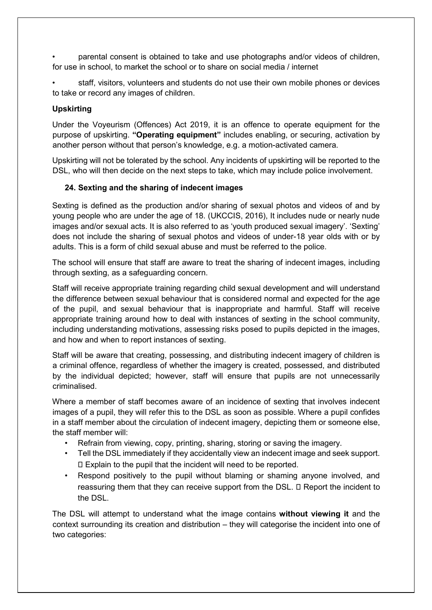• parental consent is obtained to take and use photographs and/or videos of children, for use in school, to market the school or to share on social media / internet

staff, visitors, volunteers and students do not use their own mobile phones or devices to take or record any images of children.

## **Upskirting**

Under the Voyeurism (Offences) Act 2019, it is an offence to operate equipment for the purpose of upskirting. **"Operating equipment"** includes enabling, or securing, activation by another person without that person's knowledge, e.g. a motion-activated camera.

Upskirting will not be tolerated by the school. Any incidents of upskirting will be reported to the DSL, who will then decide on the next steps to take, which may include police involvement.

# **24. Sexting and the sharing of indecent images**

Sexting is defined as the production and/or sharing of sexual photos and videos of and by young people who are under the age of 18. (UKCCIS, 2016), It includes nude or nearly nude images and/or sexual acts. It is also referred to as 'youth produced sexual imagery'. 'Sexting' does not include the sharing of sexual photos and videos of under-18 year olds with or by adults. This is a form of child sexual abuse and must be referred to the police.

The school will ensure that staff are aware to treat the sharing of indecent images, including through sexting, as a safeguarding concern.

Staff will receive appropriate training regarding child sexual development and will understand the difference between sexual behaviour that is considered normal and expected for the age of the pupil, and sexual behaviour that is inappropriate and harmful. Staff will receive appropriate training around how to deal with instances of sexting in the school community, including understanding motivations, assessing risks posed to pupils depicted in the images, and how and when to report instances of sexting.

Staff will be aware that creating, possessing, and distributing indecent imagery of children is a criminal offence, regardless of whether the imagery is created, possessed, and distributed by the individual depicted; however, staff will ensure that pupils are not unnecessarily criminalised.

Where a member of staff becomes aware of an incidence of sexting that involves indecent images of a pupil, they will refer this to the DSL as soon as possible. Where a pupil confides in a staff member about the circulation of indecent imagery, depicting them or someone else, the staff member will:

- Refrain from viewing, copy, printing, sharing, storing or saving the imagery.
- Tell the DSL immediately if they accidentally view an indecent image and seek support. Explain to the pupil that the incident will need to be reported.
- Respond positively to the pupil without blaming or shaming anyone involved, and reassuring them that they can receive support from the DSL.  $\square$  Report the incident to the DSL.

The DSL will attempt to understand what the image contains **without viewing it** and the context surrounding its creation and distribution – they will categorise the incident into one of two categories: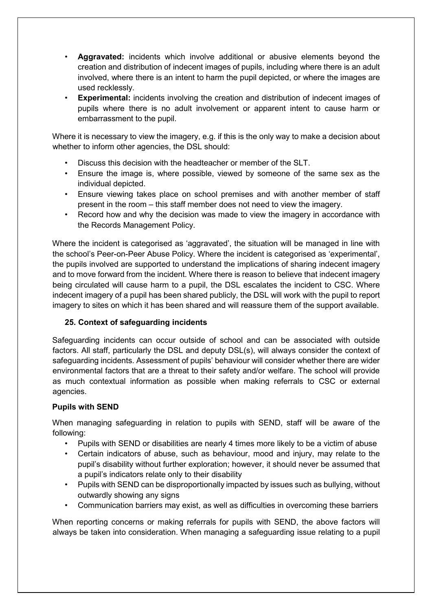- **Aggravated:** incidents which involve additional or abusive elements beyond the creation and distribution of indecent images of pupils, including where there is an adult involved, where there is an intent to harm the pupil depicted, or where the images are used recklessly.
- **Experimental:** incidents involving the creation and distribution of indecent images of pupils where there is no adult involvement or apparent intent to cause harm or embarrassment to the pupil.

Where it is necessary to view the imagery, e.g. if this is the only way to make a decision about whether to inform other agencies, the DSL should:

- Discuss this decision with the headteacher or member of the SLT.
- Ensure the image is, where possible, viewed by someone of the same sex as the individual depicted.
- Ensure viewing takes place on school premises and with another member of staff present in the room – this staff member does not need to view the imagery.
- Record how and why the decision was made to view the imagery in accordance with the Records Management Policy.

Where the incident is categorised as 'aggravated', the situation will be managed in line with the school's Peer-on-Peer Abuse Policy. Where the incident is categorised as 'experimental', the pupils involved are supported to understand the implications of sharing indecent imagery and to move forward from the incident. Where there is reason to believe that indecent imagery being circulated will cause harm to a pupil, the DSL escalates the incident to CSC. Where indecent imagery of a pupil has been shared publicly, the DSL will work with the pupil to report imagery to sites on which it has been shared and will reassure them of the support available.

# **25. Context of safeguarding incidents**

Safeguarding incidents can occur outside of school and can be associated with outside factors. All staff, particularly the DSL and deputy DSL(s), will always consider the context of safeguarding incidents. Assessment of pupils' behaviour will consider whether there are wider environmental factors that are a threat to their safety and/or welfare. The school will provide as much contextual information as possible when making referrals to CSC or external agencies.

# **Pupils with SEND**

When managing safeguarding in relation to pupils with SEND, staff will be aware of the following:

- Pupils with SEND or disabilities are nearly 4 times more likely to be a victim of abuse
- Certain indicators of abuse, such as behaviour, mood and injury, may relate to the pupil's disability without further exploration; however, it should never be assumed that a pupil's indicators relate only to their disability
- Pupils with SEND can be disproportionally impacted by issues such as bullying, without outwardly showing any signs
- Communication barriers may exist, as well as difficulties in overcoming these barriers

When reporting concerns or making referrals for pupils with SEND, the above factors will always be taken into consideration. When managing a safeguarding issue relating to a pupil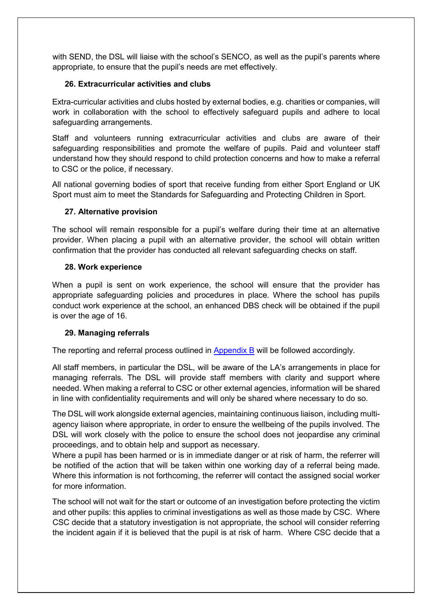with SEND, the DSL will liaise with the school's SENCO, as well as the pupil's parents where appropriate, to ensure that the pupil's needs are met effectively.

# **26. Extracurricular activities and clubs**

Extra-curricular activities and clubs hosted by external bodies, e.g. charities or companies, will work in collaboration with the school to effectively safeguard pupils and adhere to local safeguarding arrangements.

Staff and volunteers running extracurricular activities and clubs are aware of their safeguarding responsibilities and promote the welfare of pupils. Paid and volunteer staff understand how they should respond to child protection concerns and how to make a referral to CSC or the police, if necessary.

All national governing bodies of sport that receive funding from either Sport England or UK Sport must aim to meet the Standards for Safeguarding and Protecting Children in Sport.

#### **27. Alternative provision**

The school will remain responsible for a pupil's welfare during their time at an alternative provider. When placing a pupil with an alternative provider, the school will obtain written confirmation that the provider has conducted all relevant safeguarding checks on staff.

#### **28. Work experience**

When a pupil is sent on work experience, the school will ensure that the provider has appropriate safeguarding policies and procedures in place. Where the school has pupils conduct work experience at the school, an enhanced DBS check will be obtained if the pupil is over the age of 16.

#### **29. Managing referrals**

The reporting and referral process outlined in Appendix B will be followed accordingly.

All staff members, in particular the DSL, will be aware of the LA's arrangements in place for managing referrals. The DSL will provide staff members with clarity and support where needed. When making a referral to CSC or other external agencies, information will be shared in line with confidentiality requirements and will only be shared where necessary to do so.

The DSL will work alongside external agencies, maintaining continuous liaison, including multiagency liaison where appropriate, in order to ensure the wellbeing of the pupils involved. The DSL will work closely with the police to ensure the school does not jeopardise any criminal proceedings, and to obtain help and support as necessary.

Where a pupil has been harmed or is in immediate danger or at risk of harm, the referrer will be notified of the action that will be taken within one working day of a referral being made. Where this information is not forthcoming, the referrer will contact the assigned social worker for more information.

The school will not wait for the start or outcome of an investigation before protecting the victim and other pupils: this applies to criminal investigations as well as those made by CSC. Where CSC decide that a statutory investigation is not appropriate, the school will consider referring the incident again if it is believed that the pupil is at risk of harm. Where CSC decide that a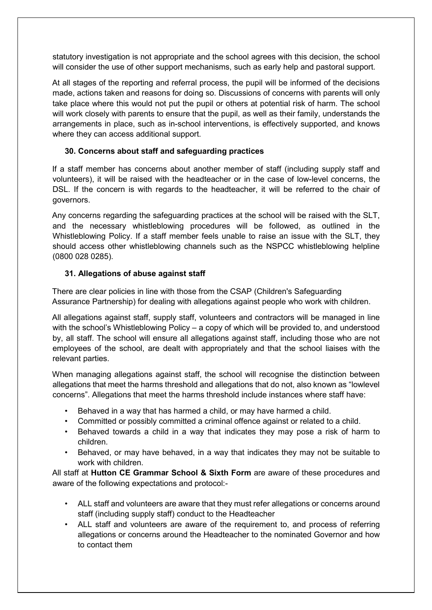statutory investigation is not appropriate and the school agrees with this decision, the school will consider the use of other support mechanisms, such as early help and pastoral support.

At all stages of the reporting and referral process, the pupil will be informed of the decisions made, actions taken and reasons for doing so. Discussions of concerns with parents will only take place where this would not put the pupil or others at potential risk of harm. The school will work closely with parents to ensure that the pupil, as well as their family, understands the arrangements in place, such as in-school interventions, is effectively supported, and knows where they can access additional support.

# **30. Concerns about staff and safeguarding practices**

If a staff member has concerns about another member of staff (including supply staff and volunteers), it will be raised with the headteacher or in the case of low-level concerns, the DSL. If the concern is with regards to the headteacher, it will be referred to the chair of governors.

Any concerns regarding the safeguarding practices at the school will be raised with the SLT, and the necessary whistleblowing procedures will be followed, as outlined in the Whistleblowing Policy. If a staff member feels unable to raise an issue with the SLT, they should access other whistleblowing channels such as the NSPCC whistleblowing helpline (0800 028 0285).

### **31. Allegations of abuse against staff**

There are clear policies in line with those from the CSAP (Children's Safeguarding Assurance Partnership) for dealing with allegations against people who work with children.

All allegations against staff, supply staff, volunteers and contractors will be managed in line with the school's Whistleblowing Policy – a copy of which will be provided to, and understood by, all staff. The school will ensure all allegations against staff, including those who are not employees of the school, are dealt with appropriately and that the school liaises with the relevant parties.

When managing allegations against staff, the school will recognise the distinction between allegations that meet the harms threshold and allegations that do not, also known as "lowlevel concerns". Allegations that meet the harms threshold include instances where staff have:

- Behaved in a way that has harmed a child, or may have harmed a child.
- Committed or possibly committed a criminal offence against or related to a child.
- Behaved towards a child in a way that indicates they may pose a risk of harm to children.
- Behaved, or may have behaved, in a way that indicates they may not be suitable to work with children.

All staff at **Hutton CE Grammar School & Sixth Form** are aware of these procedures and aware of the following expectations and protocol:-

- ALL staff and volunteers are aware that they must refer allegations or concerns around staff (including supply staff) conduct to the Headteacher
- ALL staff and volunteers are aware of the requirement to, and process of referring allegations or concerns around the Headteacher to the nominated Governor and how to contact them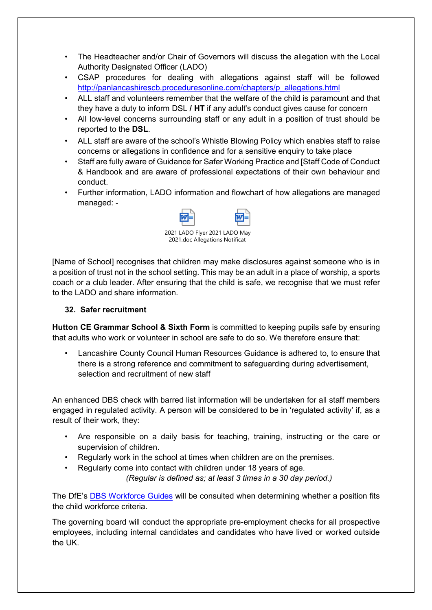- The Headteacher and/or Chair of Governors will discuss the allegation with the Local Authority Designated Officer (LADO)
- CSAP procedures for dealing with allegations against staff will be followed [http://panlancashirescb.proceduresonline.com/chapters/p\\_allegations.html](http://panlancashirescb.proceduresonline.com/chapters/p_allegations.html)
- ALL staff and volunteers remember that the welfare of the child is paramount and that they have a duty to inform DSL **/ HT** if any adult's conduct gives cause for concern
- All low-level concerns surrounding staff or any adult in a position of trust should be reported to the **DSL**.
- ALL staff are aware of the school's Whistle Blowing Policy which enables staff to raise concerns or allegations in confidence and for a sensitive enquiry to take place
- Staff are fully aware of Guidance for Safer Working Practice and [Staff Code of Conduct & Handbook and are aware of professional expectations of their own behaviour and conduct.
- Further information, LADO information and flowchart of how allegations are managed managed: -



[Name of School] recognises that children may make disclosures against someone who is in a position of trust not in the school setting. This may be an adult in a place of worship, a sports coach or a club leader. After ensuring that the child is safe, we recognise that we must refer to the LADO and share information.

# **32. Safer recruitment**

**Hutton CE Grammar School & Sixth Form** is committed to keeping pupils safe by ensuring that adults who work or volunteer in school are safe to do so. We therefore ensure that:

• Lancashire County Council Human Resources Guidance is adhered to, to ensure that there is a strong reference and commitment to safeguarding during advertisement, selection and recruitment of new staff

An enhanced DBS check with barred list information will be undertaken for all staff members engaged in regulated activity. A person will be considered to be in 'regulated activity' if, as a result of their work, they:

- Are responsible on a daily basis for teaching, training, instructing or the care or supervision of children.
- Regularly work in the school at times when children are on the premises.
- Regularly come into contact with children under 18 years of age.

*(Regular is defined as; at least 3 times in a 30 day period.)* 

The DfE's [DBS Workforce Guides](https://www.gov.uk/government/publications/dbs-workforce-guidance) [w](https://www.gov.uk/government/publications/dbs-workforce-guidance)ill be consulted when determining whether a position fits the child workforce criteria.

The governing board will conduct the appropriate pre-employment checks for all prospective employees, including internal candidates and candidates who have lived or worked outside the UK.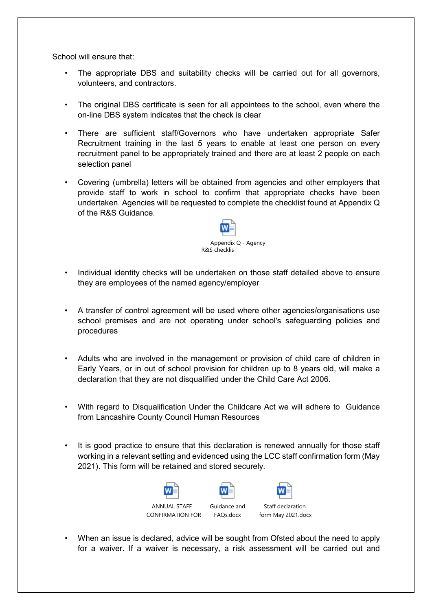School will ensure that:

- The appropriate DBS and suitability checks will be carried out for all governors, volunteers, and contractors.
- The original DBS certificate is seen for all appointees to the school, even where the on-line DBS system indicates that the check is clear
- There are sufficient staff/Governors who have undertaken appropriate Safer Recruitment training in the last 5 years to enable at least one person on every recruitment panel to be appropriately trained and there are at least 2 people on each selection panel
- Covering (umbrella) letters will be obtained from agencies and other employers that provide staff to work in school to confirm that appropriate checks have been undertaken. Agencies will be requested to complete the checklist found at Appendix Q of the R&S Guidance.



- Individual identity checks will be undertaken on those staff detailed above to ensure they are employees of the named agency/employer
- A transfer of control agreement will be used where other agencies/organisations use school premises and are not operating under school's safeguarding policies and procedures
- Adults who are involved in the management or provision of child care of children in Early Years, or in out of school provision for children up to 8 years old, will make a declaration that they are not disqualified under the Child Care Act 2006.
- With regard to Disqualification Under the Childcare Act we will adhere to Guidance from [Lancashire County Council Human Resources](file://CorpData01/LCCUsers4$/vwallace001/My%20Documents/For%20portal/%E2%80%A2%09https:/schoolsportal.lancsngfl.ac.uk/view_sp.asp?siteid=4311&pageid=45826&e=e)
- It is good practice to ensure that this declaration is renewed annually for those staff working in a relevant setting and evidenced using the LCC staff confirmation form (May 2021). This form will be retained and stored securely.



• When an issue is declared, advice will be sought from Ofsted about the need to apply for a waiver. If a waiver is necessary, a risk assessment will be carried out and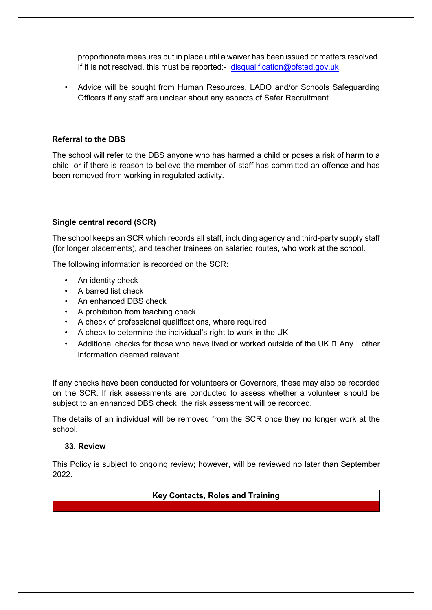proportionate measures put in place until a waiver has been issued or matters resolved. If it is not resolved, this must be reported:- disqualification@ofsted.gov.uk

• Advice will be sought from Human Resources, LADO and/or Schools Safeguarding Officers if any staff are unclear about any aspects of Safer Recruitment.

#### **Referral to the DBS**

The school will refer to the DBS anyone who has harmed a child or poses a risk of harm to a child, or if there is reason to believe the member of staff has committed an offence and has been removed from working in regulated activity.

### **Single central record (SCR)**

The school keeps an SCR which records all staff, including agency and third-party supply staff (for longer placements), and teacher trainees on salaried routes, who work at the school.

The following information is recorded on the SCR:

- An identity check
- A barred list check
- An enhanced DBS check
- A prohibition from teaching check
- A check of professional qualifications, where required
- A check to determine the individual's right to work in the UK
- Additional checks for those who have lived or worked outside of the UK  $\Box$  Any other information deemed relevant.

If any checks have been conducted for volunteers or Governors, these may also be recorded on the SCR. If risk assessments are conducted to assess whether a volunteer should be subject to an enhanced DBS check, the risk assessment will be recorded.

The details of an individual will be removed from the SCR once they no longer work at the school.

#### **33. Review**

This Policy is subject to ongoing review; however, will be reviewed no later than September 2022.

**Key Contacts, Roles and Training**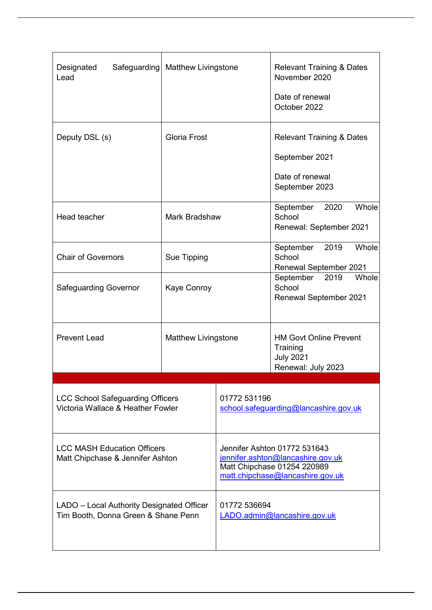| Safeguarding<br>Designated<br>Lead                                               | <b>Matthew Livingstone</b> |                                                                                                                                      | <b>Relevant Training &amp; Dates</b><br>November 2020<br>Date of renewal<br>October 2022    |
|----------------------------------------------------------------------------------|----------------------------|--------------------------------------------------------------------------------------------------------------------------------------|---------------------------------------------------------------------------------------------|
| Deputy DSL (s)                                                                   | <b>Gloria Frost</b>        |                                                                                                                                      | <b>Relevant Training &amp; Dates</b><br>September 2021<br>Date of renewal<br>September 2023 |
| Head teacher                                                                     | Mark Bradshaw              |                                                                                                                                      | Whole<br>2020<br>September<br>School<br>Renewal: September 2021                             |
| <b>Chair of Governors</b>                                                        | Sue Tipping                |                                                                                                                                      | Whole<br>September<br>2019<br>School<br><b>Renewal September 2021</b>                       |
| <b>Safeguarding Governor</b>                                                     | Kaye Conroy                |                                                                                                                                      | September<br>2019<br>Whole<br>School<br><b>Renewal September 2021</b>                       |
| <b>Prevent Lead</b>                                                              | <b>Matthew Livingstone</b> |                                                                                                                                      | <b>HM Govt Online Prevent</b><br>Training<br><b>July 2021</b><br>Renewal: July 2023         |
| <b>LCC School Safeguarding Officers</b><br>Victoria Wallace & Heather Fowler     |                            | 01772 531196<br>school.safequarding@lancashire.gov.uk                                                                                |                                                                                             |
| <b>LCC MASH Education Officers</b><br>Matt Chipchase & Jennifer Ashton           |                            | Jennifer Ashton 01772 531643<br>jennifer.ashton@lancashire.gov.uk<br>Matt Chipchase 01254 220989<br>matt.chipchase@lancashire.gov.uk |                                                                                             |
| LADO - Local Authority Designated Officer<br>Tim Booth, Donna Green & Shane Penn |                            | 01772 536694<br>LADO.admin@lancashire.gov.uk                                                                                         |                                                                                             |